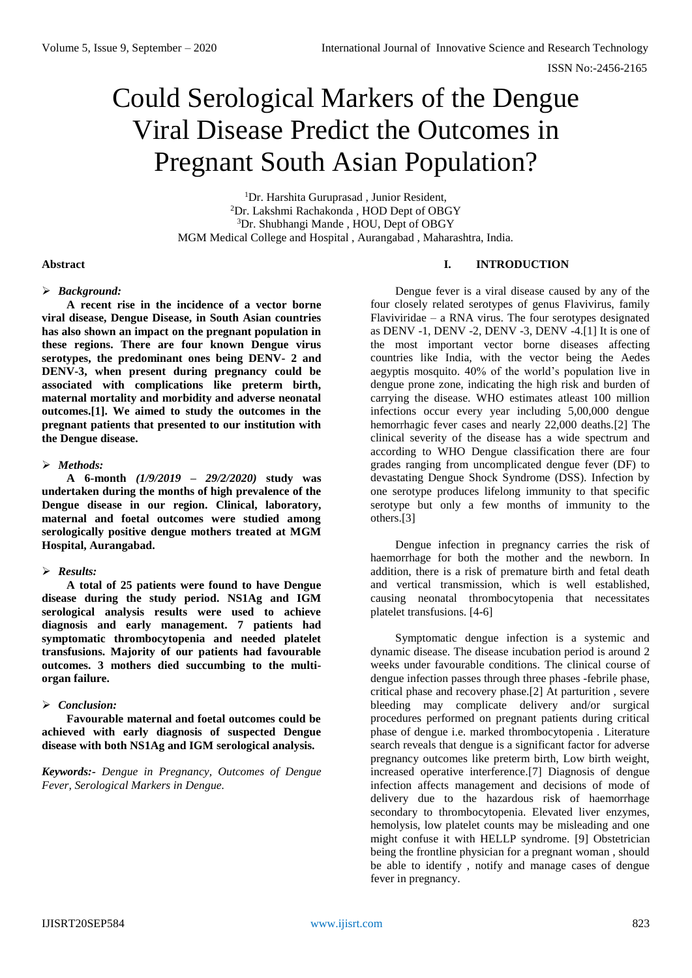# Could Serological Markers of the Dengue Viral Disease Predict the Outcomes in Pregnant South Asian Population?

<sup>1</sup>Dr. Harshita Guruprasad, Junior Resident, <sup>2</sup>Dr. Lakshmi Rachakonda , HOD Dept of OBGY <sup>3</sup>Dr. Shubhangi Mande , HOU, Dept of OBGY MGM Medical College and Hospital , Aurangabad , Maharashtra, India.

#### **Abstract**

#### *Background:*

**A recent rise in the incidence of a vector borne viral disease, Dengue Disease, in South Asian countries has also shown an impact on the pregnant population in these regions. There are four known Dengue virus serotypes, the predominant ones being DENV- 2 and DENV-3, when present during pregnancy could be associated with complications like preterm birth, maternal mortality and morbidity and adverse neonatal outcomes.[1]. We aimed to study the outcomes in the pregnant patients that presented to our institution with the Dengue disease.** 

#### *Methods:*

**A 6-month** *(1/9/2019 – 29/2/2020)* **study was undertaken during the months of high prevalence of the Dengue disease in our region. Clinical, laboratory, maternal and foetal outcomes were studied among serologically positive dengue mothers treated at MGM Hospital, Aurangabad.** 

## *Results:*

**A total of 25 patients were found to have Dengue disease during the study period. NS1Ag and IGM serological analysis results were used to achieve diagnosis and early management. 7 patients had symptomatic thrombocytopenia and needed platelet transfusions. Majority of our patients had favourable outcomes. 3 mothers died succumbing to the multiorgan failure.** 

## *Conclusion:*

**Favourable maternal and foetal outcomes could be achieved with early diagnosis of suspected Dengue disease with both NS1Ag and IGM serological analysis.** 

*Keywords:- Dengue in Pregnancy, Outcomes of Dengue Fever, Serological Markers in Dengue.*

### **I. INTRODUCTION**

Dengue fever is a viral disease caused by any of the four closely related serotypes of genus Flavivirus, family Flaviviridae – a RNA virus. The four serotypes designated as DENV -1, DENV -2, DENV -3, DENV -4.[1] It is one of the most important vector borne diseases affecting countries like India, with the vector being the Aedes aegyptis mosquito. 40% of the world's population live in dengue prone zone, indicating the high risk and burden of carrying the disease. WHO estimates atleast 100 million infections occur every year including 5,00,000 dengue hemorrhagic fever cases and nearly 22,000 deaths.[2] The clinical severity of the disease has a wide spectrum and according to WHO Dengue classification there are four grades ranging from uncomplicated dengue fever (DF) to devastating Dengue Shock Syndrome (DSS). Infection by one serotype produces lifelong immunity to that specific serotype but only a few months of immunity to the others.[3]

Dengue infection in pregnancy carries the risk of haemorrhage for both the mother and the newborn. In addition, there is a risk of premature birth and fetal death and vertical transmission, which is well established, causing neonatal thrombocytopenia that necessitates platelet transfusions. [4-6]

Symptomatic dengue infection is a systemic and dynamic disease. The disease incubation period is around 2 weeks under favourable conditions. The clinical course of dengue infection passes through three phases -febrile phase, critical phase and recovery phase.[2] At parturition , severe bleeding may complicate delivery and/or surgical procedures performed on pregnant patients during critical phase of dengue i.e. marked thrombocytopenia . Literature search reveals that dengue is a significant factor for adverse pregnancy outcomes like preterm birth, Low birth weight, increased operative interference.[7] Diagnosis of dengue infection affects management and decisions of mode of delivery due to the hazardous risk of haemorrhage secondary to thrombocytopenia. Elevated liver enzymes, hemolysis, low platelet counts may be misleading and one might confuse it with HELLP syndrome. [9] Obstetrician being the frontline physician for a pregnant woman , should be able to identify , notify and manage cases of dengue fever in pregnancy.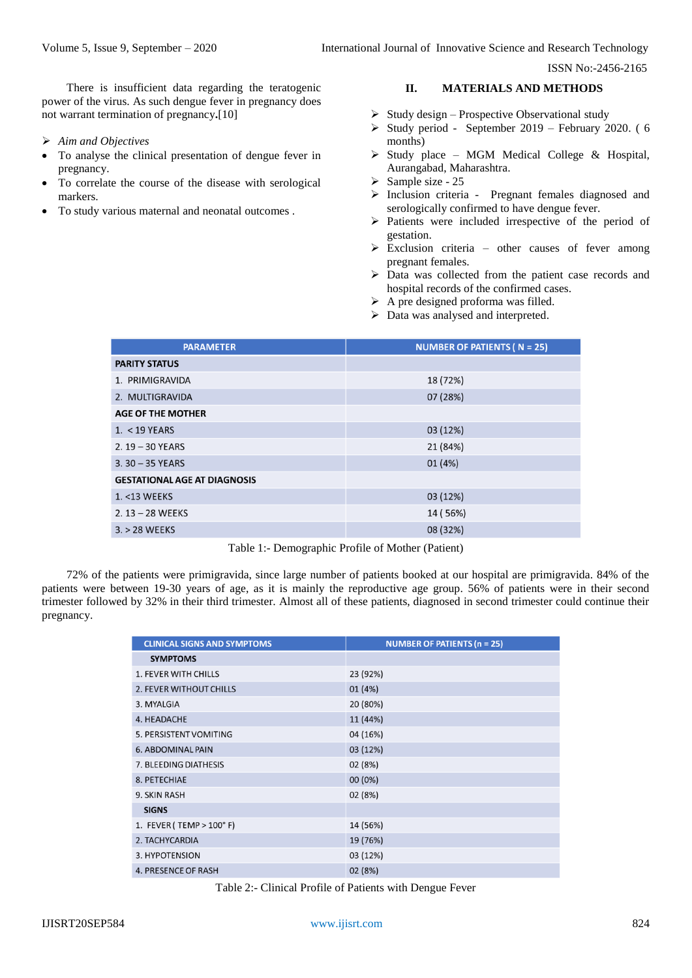ISSN No:-2456-2165

There is insufficient data regarding the teratogenic power of the virus. As such dengue fever in pregnancy does not warrant termination of pregnancy**.**[10]

- *Aim and Objectives*
- To analyse the clinical presentation of dengue fever in pregnancy.
- To correlate the course of the disease with serological markers.
- To study various maternal and neonatal outcomes .

## **II. MATERIALS AND METHODS**

- $\triangleright$  Study design Prospective Observational study
- $\triangleright$  Study period September 2019 February 2020. (6 months)
- $\triangleright$  Study place MGM Medical College & Hospital, Aurangabad, Maharashtra.
- $\triangleright$  Sample size 25
- > Inclusion criteria Pregnant females diagnosed and serologically confirmed to have dengue fever.
- $\triangleright$  Patients were included irrespective of the period of gestation.
- $\triangleright$  Exclusion criteria other causes of fever among pregnant females.
- Data was collected from the patient case records and hospital records of the confirmed cases.
- $\triangleright$  A pre designed proforma was filled.
- $\triangleright$  Data was analysed and interpreted.

| <b>PARAMETER</b>                    | NUMBER OF PATIENTS ( $N = 25$ ) |
|-------------------------------------|---------------------------------|
| <b>PARITY STATUS</b>                |                                 |
| 1. PRIMIGRAVIDA                     | 18 (72%)                        |
| 2. MULTIGRAVIDA                     | 07 (28%)                        |
| <b>AGE OF THE MOTHER</b>            |                                 |
| $1. < 19$ YEARS                     | 03 (12%)                        |
| $2.19 - 30$ YEARS                   | 21 (84%)                        |
| $3.30 - 35$ YEARS                   | 01 (4%)                         |
| <b>GESTATIONAL AGE AT DIAGNOSIS</b> |                                 |
| 1. <13 WEEKS                        | 03 (12%)                        |
| $2.13 - 28$ WEEKS                   | 14 (56%)                        |
| $3. > 28$ WEEKS                     | 08 (32%)                        |

Table 1:- Demographic Profile of Mother (Patient)

72% of the patients were primigravida, since large number of patients booked at our hospital are primigravida. 84% of the patients were between 19-30 years of age, as it is mainly the reproductive age group. 56% of patients were in their second trimester followed by 32% in their third trimester. Almost all of these patients, diagnosed in second trimester could continue their pregnancy.

| <b>CLINICAL SIGNS AND SYMPTOMS</b> | <b>NUMBER OF PATIENTS (<math>n = 25</math>)</b> |
|------------------------------------|-------------------------------------------------|
| <b>SYMPTOMS</b>                    |                                                 |
| 1. FEVER WITH CHILLS               | 23 (92%)                                        |
| 2. FEVER WITHOUT CHILLS            | 01 (4%)                                         |
| 3. MYALGIA                         | 20 (80%)                                        |
| 4. HEADACHE                        | 11 (44%)                                        |
| 5. PERSISTENT VOMITING             | 04 (16%)                                        |
| 6. ABDOMINAL PAIN                  | 03 (12%)                                        |
| 7. BLEEDING DIATHESIS              | 02 (8%)                                         |
| 8. PETECHIAE                       | 00 (0%)                                         |
| 9. SKIN RASH                       | 02 (8%)                                         |
| <b>SIGNS</b>                       |                                                 |
| 1. FEVER (TEMP > $100^{\circ}$ F)  | 14 (56%)                                        |
| 2. TACHYCARDIA                     | 19 (76%)                                        |
| 3. HYPOTENSION                     | 03 (12%)                                        |
| <b>4. PRESENCE OF RASH</b>         | 02 (8%)                                         |

Table 2:- Clinical Profile of Patients with Dengue Fever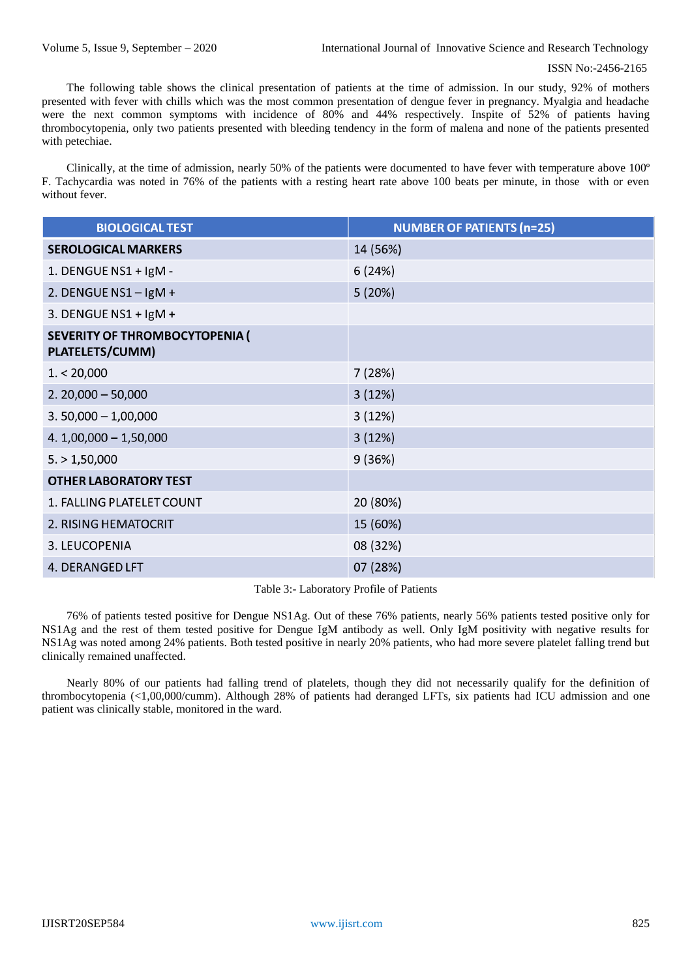The following table shows the clinical presentation of patients at the time of admission. In our study, 92% of mothers presented with fever with chills which was the most common presentation of dengue fever in pregnancy. Myalgia and headache were the next common symptoms with incidence of 80% and 44% respectively. Inspite of 52% of patients having thrombocytopenia, only two patients presented with bleeding tendency in the form of malena and none of the patients presented with petechiae.

Clinically, at the time of admission, nearly 50% of the patients were documented to have fever with temperature above 100º F. Tachycardia was noted in 76% of the patients with a resting heart rate above 100 beats per minute, in those with or even without fever.

| <b>BIOLOGICAL TEST</b>                                   | <b>NUMBER OF PATIENTS (n=25)</b> |
|----------------------------------------------------------|----------------------------------|
| <b>SEROLOGICAL MARKERS</b>                               | 14 (56%)                         |
| 1. DENGUE NS1 + IgM -                                    | 6(24%)                           |
| 2. DENGUE NS1 - $lgM +$                                  | 5(20%)                           |
| 3. DENGUE NS1 + $\lg M +$                                |                                  |
| <b>SEVERITY OF THROMBOCYTOPENIA (</b><br>PLATELETS/CUMM) |                                  |
| 1. < 20,000                                              | 7 (28%)                          |
| $2.20,000 - 50,000$                                      | 3(12%)                           |
| $3.50,000 - 1,00,000$                                    | 3(12%)                           |
| $4.1,00,000 - 1,50,000$                                  | 3(12%)                           |
| 5. > 1,50,000                                            | 9 (36%)                          |
| <b>OTHER LABORATORY TEST</b>                             |                                  |
| 1. FALLING PLATELET COUNT                                | 20 (80%)                         |
| 2. RISING HEMATOCRIT                                     | 15 (60%)                         |
| 3. LEUCOPENIA                                            | 08 (32%)                         |
| 4. DERANGED LFT                                          | 07 (28%)                         |

Table 3:- Laboratory Profile of Patients

76% of patients tested positive for Dengue NS1Ag. Out of these 76% patients, nearly 56% patients tested positive only for NS1Ag and the rest of them tested positive for Dengue IgM antibody as well. Only IgM positivity with negative results for NS1Ag was noted among 24% patients. Both tested positive in nearly 20% patients, who had more severe platelet falling trend but clinically remained unaffected.

Nearly 80% of our patients had falling trend of platelets, though they did not necessarily qualify for the definition of thrombocytopenia (<1,00,000/cumm). Although 28% of patients had deranged LFTs, six patients had ICU admission and one patient was clinically stable, monitored in the ward.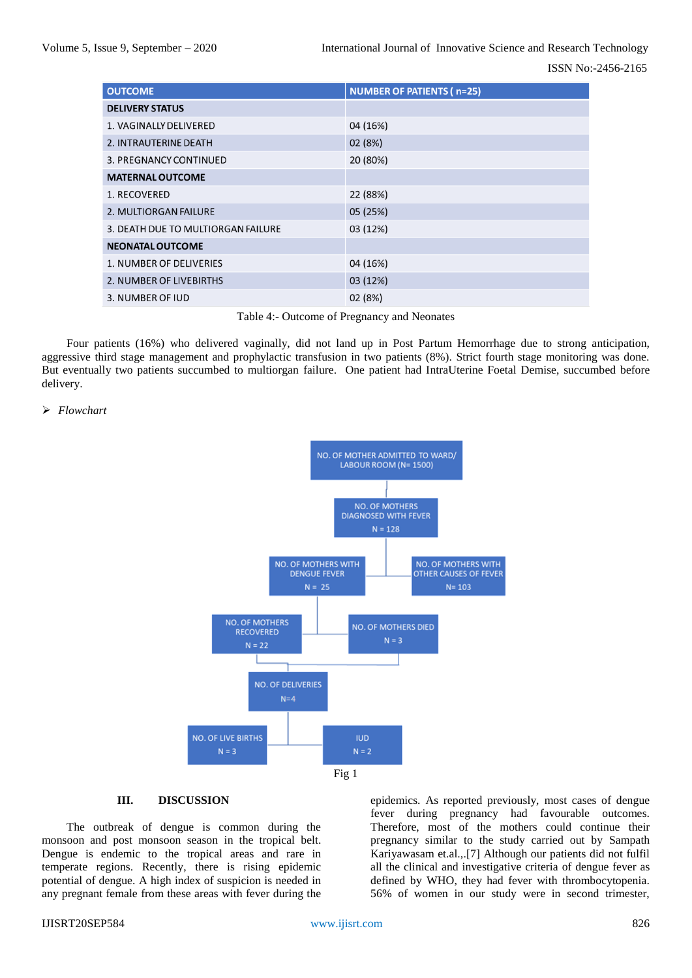| <b>OUTCOME</b>                     | <b>NUMBER OF PATIENTS (n=25)</b> |
|------------------------------------|----------------------------------|
| <b>DELIVERY STATUS</b>             |                                  |
| 1. VAGINALLY DELIVERED             | 04 (16%)                         |
| 2. INTRAUTERINE DEATH              | 02 (8%)                          |
| 3. PREGNANCY CONTINUED             | 20 (80%)                         |
| <b>MATERNAL OUTCOME</b>            |                                  |
| 1. RECOVERED                       | 22 (88%)                         |
| 2. MULTIORGAN FAILURE              | 05 (25%)                         |
| 3. DEATH DUE TO MULTIORGAN FAILURE | 03 (12%)                         |
| <b>NEONATAL OUTCOME</b>            |                                  |
| 1. NUMBER OF DELIVERIES            | 04 (16%)                         |
| 2. NUMBER OF LIVEBIRTHS            | 03 (12%)                         |
| 3. NUMBER OF JUD                   | 02 (8%)                          |

Table 4:- Outcome of Pregnancy and Neonates

Four patients (16%) who delivered vaginally, did not land up in Post Partum Hemorrhage due to strong anticipation, aggressive third stage management and prophylactic transfusion in two patients (8%). Strict fourth stage monitoring was done. But eventually two patients succumbed to multiorgan failure. One patient had IntraUterine Foetal Demise, succumbed before delivery.

#### *Flowchart*



## **III. DISCUSSION**

The outbreak of dengue is common during the monsoon and post monsoon season in the tropical belt. Dengue is endemic to the tropical areas and rare in temperate regions. Recently, there is rising epidemic potential of dengue. A high index of suspicion is needed in any pregnant female from these areas with fever during the

epidemics. As reported previously, most cases of dengue fever during pregnancy had favourable outcomes. Therefore, most of the mothers could continue their pregnancy similar to the study carried out by Sampath Kariyawasam et.al.,.[7] Although our patients did not fulfil all the clinical and investigative criteria of dengue fever as defined by WHO, they had fever with thrombocytopenia. 56% of women in our study were in second trimester,